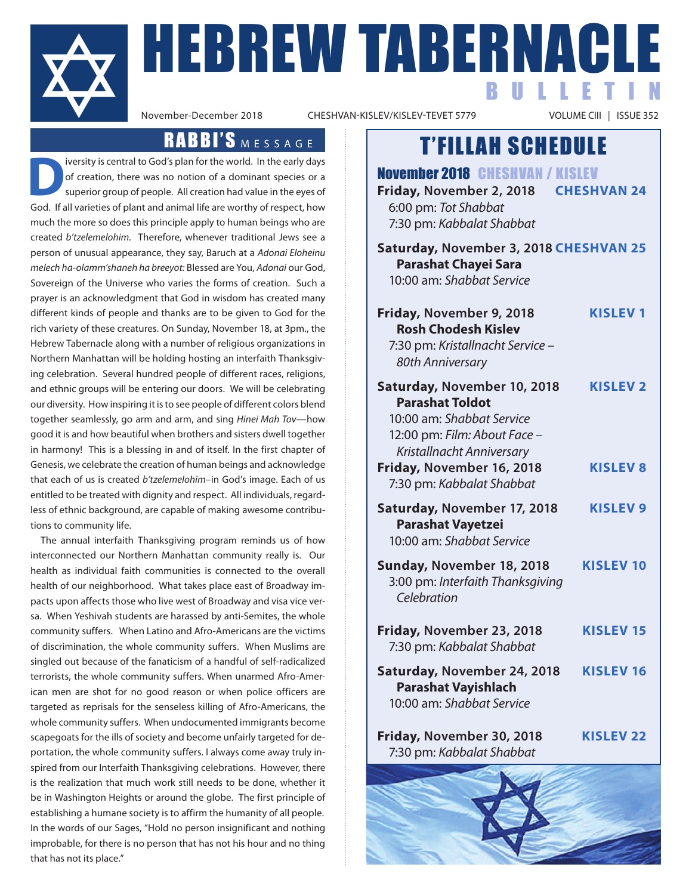

**HEBREW TABERNACLE** BULLETIN

CHESHVAN-KISLEV/KISLEV-TEVET 5779

### RABBI'S MESSAGE

iversity is central to God's plan for the world. In the early days of creation, there was no notion of a dominant species or a superior group of people. All creation had value in the eyes of God. If all varieties of plant and animal life are worthy of respect, how much the more so does this principle apply to human beings who are created *b'tzelemelohim.* Therefore, whenever traditional Jews see a person of unusual appearance, they say, Baruch at a *Adonai Eloheinu melech ha-olamm'shaneh ha breeyot:* Blessed are You, *Adonai* our God, Sovereign of the Universe who varies the forms of creation. Such a prayer is an acknowledgment that God in wisdom has created many different kinds of people and thanks are to be given to God for the rich variety of these creatures. On Sunday, November 18, at 3pm., the Hebrew Tabernacle along with a number of religious organizations in Northern Manhattan will be holding hosting an interfaith Thanksgiving celebration. Several hundred people of different races, religions, and ethnic groups will be entering our doors. We will be celebrating our diversity. How inspiring it is to see people of different colors blend together seamlessly, go arm and arm, and sing *Hinei Mah Tov*—how good it is and how beautiful when brothers and sisters dwell together in harmony! This is a blessing in and of itself. In the first chapter of Genesis, we celebrate the creation of human beings and acknowledge that each of us is created *b'tzelemelohim*–in God's image. Each of us entitled to be treated with dignity and respect. All individuals, regardless of ethnic background, are capable of making awesome contributions to community life.

The annual interfaith Thanksgiving program reminds us of how interconnected our Northern Manhattan community really is. Our health as individual faith communities is connected to the overall health of our neighborhood. What takes place east of Broadway impacts upon affects those who live west of Broadway and visa vice versa. When Yeshivah students are harassed by anti-Semites, the whole community suffers. When Latino and Afro-Americans are the victims of discrimination, the whole community suffers. When Muslims are singled out because of the fanaticism of a handful of self-radicalized terrorists, the whole community suffers. When unarmed Afro-American men are shot for no good reason or when police officers are targeted as reprisals for the senseless killing of Afro-Americans, the whole community suffers. When undocumented immigrants become scapegoats for the ills of society and become unfairly targeted for deportation, the whole community suffers. I always come away truly inspired from our Interfaith Thanksgiving celebrations. However, there is the realization that much work still needs to be done, whether it be in Washington Heights or around the globe. The first principle of establishing a humane society is to affirm the humanity of all people. In the words of our Sages, "Hold no person insignificant and nothing improbable, for there is no person that has not his hour and no thing that has not its place."

### T'FILLAH SCHEDULE

| <b>November 2018 CHESHVAN / KISLEV</b><br>Friday, November 2, 2018<br>6:00 pm: Tot Shabbat<br>7:30 pm: Kabbalat Shabbat                         | <b>CHESHVAN 24</b> |
|-------------------------------------------------------------------------------------------------------------------------------------------------|--------------------|
| Saturday, November 3, 2018 CHESHVAN 25<br><b>Parashat Chayei Sara</b><br>10:00 am: Shabbat Service                                              |                    |
| Friday, November 9, 2018<br><b>Rosh Chodesh Kislev</b><br>7:30 pm: Kristallnacht Service -<br>80th Anniversary                                  | <b>KISLEV1</b>     |
| Saturday, November 10, 2018<br><b>Parashat Toldot</b><br>10:00 am: Shabbat Service<br>12:00 pm: Film: About Face -<br>Kristallnacht Anniversary | <b>KISLEV 2</b>    |
| Friday, November 16, 2018<br>7:30 pm: Kabbalat Shabbat                                                                                          | <b>KISLEV 8</b>    |
| Saturday, November 17, 2018<br><b>Parashat Vayetzei</b><br>10:00 am: Shabbat Service                                                            | <b>KISLEV 9</b>    |
| Sunday, November 18, 2018<br>3:00 pm: Interfaith Thanksgiving<br>Celebration                                                                    | <b>KISLEV 10</b>   |
| Friday, November 23, 2018<br>7:30 pm: Kabbalat Shabbat                                                                                          | <b>KISLEV 15</b>   |
| Saturday, November 24, 2018<br><b>Parashat Vayishlach</b><br>10:00 am: Shabbat Service                                                          | KISLEV 16          |
| Friday, November 30, 2018<br>7:30 pm: Kabbalat Shabbat                                                                                          | <b>KISLEV 22</b>   |
|                                                                                                                                                 |                    |

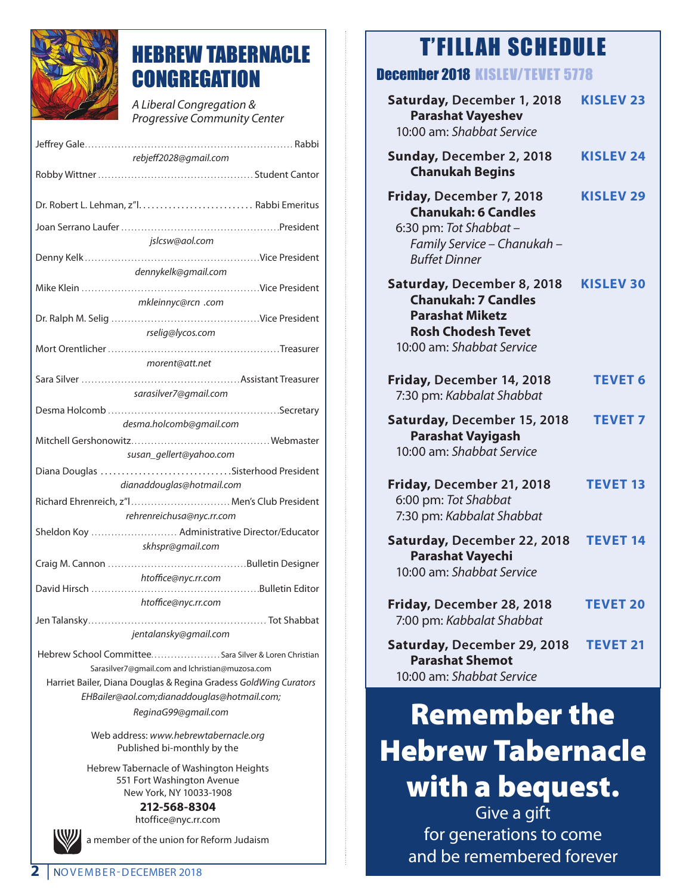

## HEBREW TABERNACLE **CONGREGATION**

*A Liberal Congregation & Progressive Community Center* 

| rebjeff2028@gmail.com                                              |  |  |
|--------------------------------------------------------------------|--|--|
|                                                                    |  |  |
|                                                                    |  |  |
|                                                                    |  |  |
|                                                                    |  |  |
| jslcsw@aol.com                                                     |  |  |
|                                                                    |  |  |
| dennykelk@gmail.com                                                |  |  |
|                                                                    |  |  |
| mkleinnyc@rcn .com                                                 |  |  |
|                                                                    |  |  |
| rselig@lycos.com                                                   |  |  |
|                                                                    |  |  |
| morent@att.net                                                     |  |  |
|                                                                    |  |  |
| sarasilver7@gmail.com                                              |  |  |
|                                                                    |  |  |
| desma.holcomb@gmail.com                                            |  |  |
|                                                                    |  |  |
|                                                                    |  |  |
| susan_gellert@yahoo.com                                            |  |  |
| Diana Douglas Sisterhood President                                 |  |  |
| dianaddouglas@hotmail.com                                          |  |  |
| Richard Ehrenreich, z"I Men's Club President                       |  |  |
| rehrenreichusa@nyc.rr.com                                          |  |  |
| Sheldon Koy  Administrative Director/Educator                      |  |  |
| skhspr@gmail.com                                                   |  |  |
|                                                                    |  |  |
| htoffice@nyc.rr.com                                                |  |  |
|                                                                    |  |  |
| htoffice@nyc.rr.com                                                |  |  |
|                                                                    |  |  |
| jentalansky@gmail.com                                              |  |  |
| Hebrew School Committee Sara Silver & Loren Christian              |  |  |
| Sarasilver7@qmail.com and lchristian@muzosa.com                    |  |  |
| Harriet Bailer, Diana Douglas & Regina Gradess GoldWing Curators   |  |  |
| EHBailer@aol.com;dianaddouglas@hotmail.com;<br>ReginaG99@gmail.com |  |  |

Web address: *www.hebrewtabernacle.org* Published bi-monthly by the

Hebrew Tabernacle of Washington Heights 551 Fort Washington Avenue New York, NY 10033-1908

**212-568-8304** htoffice@nyc.rr.com

a member of the union for Reform Judaism

## T'FILLAH SCHEDULE

### December 2018 KISLEV/TEVET 5778

| Saturday, December 1, 2018<br><b>Parashat Vayeshev</b><br>10:00 am: Shabbat Service                                                          | <b>KISLEV 23</b> |
|----------------------------------------------------------------------------------------------------------------------------------------------|------------------|
| Sunday, December 2, 2018<br><b>Chanukah Begins</b>                                                                                           | <b>KISLEV 24</b> |
| Friday, December 7, 2018<br><b>Chanukah: 6 Candles</b><br>6:30 pm: Tot Shabbat -<br>Family Service - Chanukah -<br><b>Buffet Dinner</b>      | <b>KISLEV 29</b> |
| Saturday, December 8, 2018<br><b>Chanukah: 7 Candles</b><br><b>Parashat Miketz</b><br><b>Rosh Chodesh Tevet</b><br>10:00 am: Shabbat Service | <b>KISLEV 30</b> |
| Friday, December 14, 2018<br>7:30 pm: Kabbalat Shabbat                                                                                       | <b>TEVET 6</b>   |
| Saturday, December 15, 2018<br><b>Parashat Vayigash</b><br>10:00 am: Shabbat Service                                                         | <b>TEVET 7</b>   |
| Friday, December 21, 2018<br>6:00 pm: Tot Shabbat<br>7:30 pm: Kabbalat Shabbat                                                               | <b>TEVET 13</b>  |
| Saturday, December 22, 2018<br><b>Parashat Vayechi</b><br>10:00 am: Shabbat Service                                                          | <b>TEVET 14</b>  |
| Friday, December 28, 2018<br>7:00 pm: Kabbalat Shabbat                                                                                       | <b>TEVET 20</b>  |
| Saturday, December 29, 2018<br><b>Parashat Shemot</b><br>10:00 am: Shabbat Service                                                           | <b>TEVET 21</b>  |

# Remember the Hebrew Tabernacle with a bequest.

Give a gift for generations to come and be remembered forever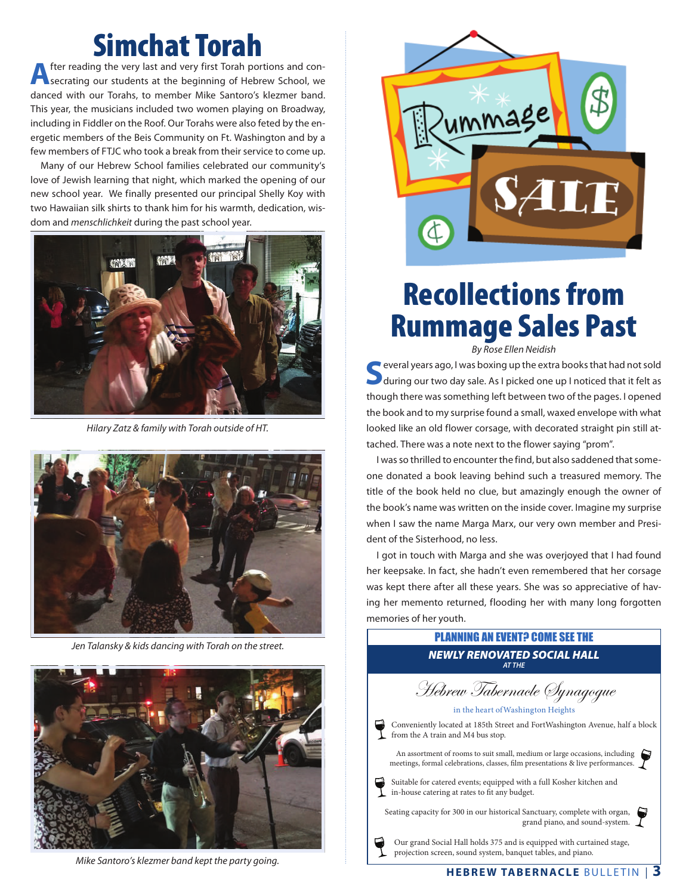# **Simchat Torah**<br>fter reading the very last and very first Torah portions and con-

After reading the very last and very first Torah portions and con-<br>secrating our students at the beginning of Hebrew School, we danced with our Torahs, to member Mike Santoro's klezmer band. This year, the musicians included two women playing on Broadway, including in Fiddler on the Roof. Our Torahs were also feted by the energetic members of the Beis Community on Ft. Washington and by a few members of FTJC who took a break from their service to come up.

 Many of our Hebrew School families celebrated our community's love of Jewish learning that night, which marked the opening of our new school year. We finally presented our principal Shelly Koy with two Hawaiian silk shirts to thank him for his warmth, dedication, wisdom and *menschlichkeit* during the past school year.



*Hilary Zatz & family with Torah outside of HT.*



*Jen Talansky & kids dancing with Torah on the street.*



*Mike Santoro's klezmer band kept the party going.*



# Recollections from Rummage Sales Past

*By Rose Ellen Neidish*

**S**everal years ago, I was boxing up the extra books that had not sold during our two day sale. As I picked one up I noticed that it felt as though there was something left between two of the pages. I opened the book and to my surprise found a small, waxed envelope with what looked like an old flower corsage, with decorated straight pin still attached. There was a note next to the flower saying "prom".

 I was so thrilled to encounter the find, but also saddened that someone donated a book leaving behind such a treasured memory. The title of the book held no clue, but amazingly enough the owner of the book's name was written on the inside cover. Imagine my surprise when I saw the name Marga Marx, our very own member and President of the Sisterhood, no less.

 I got in touch with Marga and she was overjoyed that I had found her keepsake. In fact, she hadn't even remembered that her corsage was kept there after all these years. She was so appreciative of having her memento returned, flooding her with many long forgotten memories of her youth.



Our grand Social Hall holds 375 and is equipped with curtained stage, projection screen, sound system, banquet tables, and piano.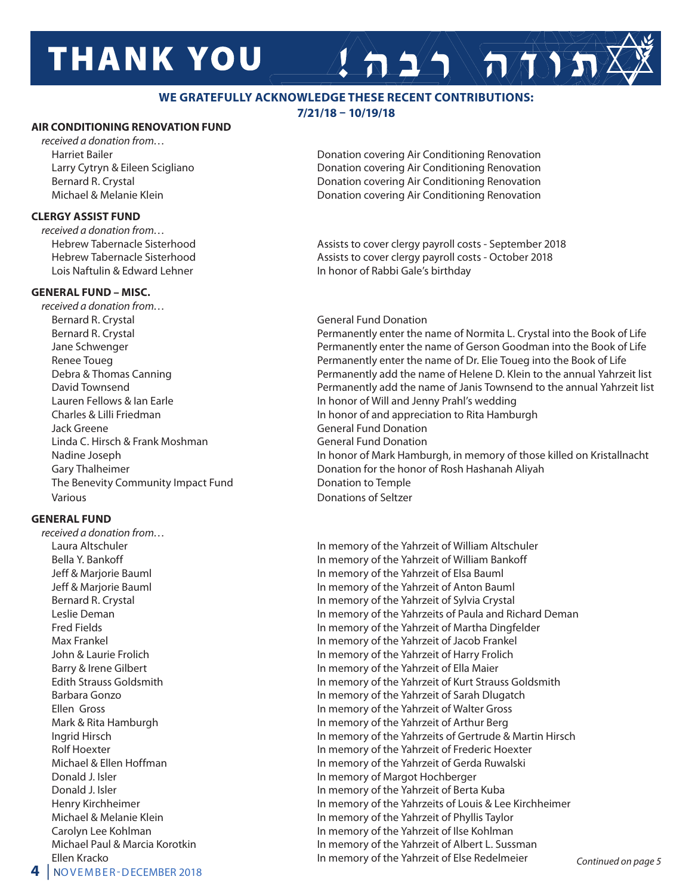# **THANK YOU**

#### **WE GRATEFULLY ACKNOWLEDGE THESE RECENT CONTRIBUTIONS:**

#### **7/21/18 – 10/19/18**

#### **AIR CONDITIONING RENOVATION FUND**

*received a donation from…*

#### **CLERGY ASSIST FUND**

*received a donation from…*

#### **GENERAL FUND – MISC.**

*received a donation from…* Bernard R. Crystal General Fund Donation Jack Greene General Fund Donation Linda C. Hirsch & Frank Moshman General Fund Donation The Benevity Community Impact Fund Donation to Temple Various **Various** Various **Donations** of Seltzer

#### **GENERAL FUND**

*received a donation from…*

Harriet Bailer **Donation covering Air Conditioning Renovation Donation covering Air Conditioning Renovation**  Larry Cytryn & Eileen Scigliano Donation covering Air Conditioning Renovation Bernard R. Crystal **Donation Covering Air Conditioning Renovation** Covering Air Conditioning Renovation Michael & Melanie Klein Donation covering Air Conditioning Renovation

 $A 2/2$ 

Hebrew Tabernacle Sisterhood **Assists to cover clergy payroll costs - September 2018** Hebrew Tabernacle Sisterhood **Assists to cover clergy payroll costs - October 2018** Lois Naftulin & Edward Lehner **In honor of Rabbi Gale's birthday** 

### Bernard R. Crystal Permanently enter the name of Normita L. Crystal into the Book of Life Jane Schwenger **Permanently enter the name of Gerson Goodman into the Book of Life** Renee Toueg **Permanently enter the name of Dr. Elie Toueg into the Book of Life** Toueg into the Book of Life Debra & Thomas Canning Permanently add the name of Helene D. Klein to the annual Yahrzeit list David Townsend Permanently add the name of Janis Townsend to the annual Yahrzeit list Lauren Fellows & Ian Earle **In the Institute In honor of Will and Jenny Prahl's wedding**  Charles & Lilli Friedman In honor of and appreciation to Rita Hamburgh Nadine Joseph In honor of Mark Hamburgh, in memory of those killed on Kristallnacht Gary Thalheimer **Donation for the honor of Rosh Hashanah Aliyah** Donation for the honor of Rosh Hashanah Aliyah

 Laura Altschuler In memory of the Yahrzeit of William Altschuler Bella Y. Bankoff **In memory of the Yahrzeit of William Bankoff**  Jeff & Marjorie Bauml In memory of the Yahrzeit of Elsa Bauml Jeff & Marjorie Bauml In memory of the Yahrzeit of Anton Bauml Bernard R. Crystal **In memory of the Yahrzeit of Sylvia Crystal** Leslie Deman **In memory of the Yahrzeits of Paula and Richard Deman**  Fred Fields In memory of the Yahrzeit of Martha Dingfelder Max Frankel In memory of the Yahrzeit of Jacob Frankel John & Laurie Frolich In memory of the Yahrzeit of Harry Frolich Barry & Irene Gilbert **In memory of the Yahrzeit of Ella Maier** In memory of the Yahrzeit of Ella Maier Edith Strauss Goldsmith In memory of the Yahrzeit of Kurt Strauss Goldsmith Barbara Gonzo In memory of the Yahrzeit of Sarah Dlugatch Ellen Gross **In memory of the Yahrzeit of Walter Gross** Mark & Rita Hamburgh **In memory of the Yahrzeit of Arthur Berg** In memory of the Yahrzeit of Arthur Berg Ingrid Hirsch In memory of the Yahrzeits of Gertrude & Martin Hirsch Rolf Hoexter **In memory of the Yahrzeit of Frederic Hoexter** In memory of the Yahrzeit of Frederic Hoexter Michael & Ellen Hoffman **In memory of the Yahrzeit of Gerda Ruwalski** Donald J. Isler **In Margot Hochberger** In memory of Margot Hochberger Donald J. Isler In memory of the Yahrzeit of Berta Kuba Henry Kirchheimer **In memory of the Yahrzeits of Louis & Lee Kirchheimer** In memory of the Yahrzeits of Louis & Lee Kirchheimer Michael & Melanie Klein **In memory of the Yahrzeit of Phyllis Taylor**  Carolyn Lee Kohlman In memory of the Yahrzeit of Ilse Kohlman Michael Paul & Marcia Korotkin **In memory of the Yahrzeit of Albert L. Sussman** Ellen Kracko In memory of the Yahrzeit of Else Redelmeier *Continued on page 5*

**4** | NOVEMBER-DECEMBER 2018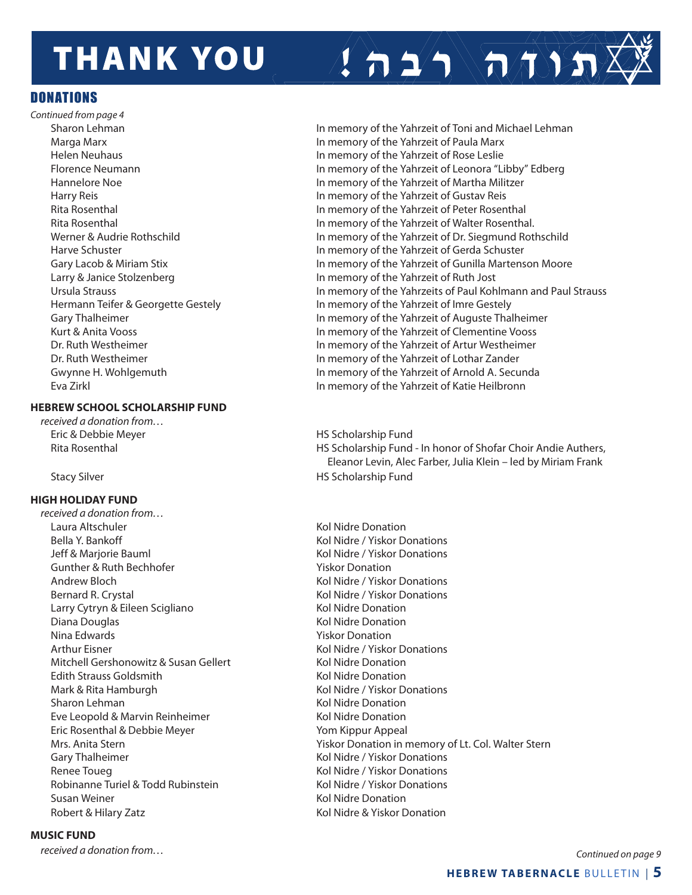# **THANK YOU**

#### **DONATIONS**

*Continued from page 4*

#### **HEBREW SCHOOL SCHOLARSHIP FUND**

*received a donation from…* Eric & Debbie Meyer **HS Scholarship Fund** 

#### **HIGH HOLIDAY FUND**

*received a donation from…* Laura Altschuler National Communication and Kol Nidre Donation Bella Y. Bankoff **Kollandia Books and Science Conventions** Kol Nidre / Yiskor Donations Jeff & Marjorie Bauml **Kol Nidre / Yiskor Donations** Gunther & Ruth Bechhofer The Construction Construction Niskor Donation Andrew Bloch Kol Nidre / Yiskor Donations Bernard R. Crystal **Kol Nidre / Yiskor Donations** Kol Nidre / Yiskor Donations Larry Cytryn & Eileen Scigliano Kol Nidre Donation Diana Douglas **Kol Nidre Donation** Nina Edwards **Yiskor Donation**  Arthur Eisner Kol Nidre / Yiskor Donations Mitchell Gershonowitz & Susan Gellert Kol Nidre Donation Edith Strauss Goldsmith **Edition** Kol Nidre Donation Mark & Rita Hamburgh **Kol Nidre / Yiskor Donations** Kol Nidre / Yiskor Donations Sharon Lehman Kol Nidre Donation Eve Leopold & Marvin Reinheimer Kol Nidre Donation Eric Rosenthal & Debbie Meyer New Yom Kippur Appeal Gary Thalheimer **Kol Nidre / Yiskor Donations** Renee Toueg **Kolley Accord Contract Contract Contract Contract Contract Contract Contract Contract Contract Contract Contract Contract Contract Contract Contract Contract Contract Contract Contract Contract Contract Contra** Robinanne Turiel & Todd Rubinstein Kol Nidre / Yiskor Donations Susan Weiner National Communication Communication Network Kol Nidre Donation Robert & Hilary Zatz **Kol Nidre & Yiskor Donation** 

#### **MUSIC FUND**

Sharon Lehman **In memory of the Yahrzeit of Toni and Michael Lehman**  Marga Marx In memory of the Yahrzeit of Paula Marx Helen Neuhaus In memory of the Yahrzeit of Rose Leslie Florence Neumann In memory of the Yahrzeit of Leonora "Libby" Edberg Hannelore Noe In memory of the Yahrzeit of Martha Militzer Harry Reis In memory of the Yahrzeit of Gustav Reis Rita Rosenthal In memory of the Yahrzeit of Peter Rosenthal Rita Rosenthal In memory of the Yahrzeit of Walter Rosenthal. Werner & Audrie Rothschild **In memory of the Yahrzeit of Dr. Siegmund Rothschild**  Harve Schuster In memory of the Yahrzeit of Gerda Schuster Gary Lacob & Miriam Stix In memory of the Yahrzeit of Gunilla Martenson Moore Larry & Janice Stolzenberg **In Markow Common Control** In memory of the Yahrzeit of Ruth Jost Ursula Strauss In memory of the Yahrzeits of Paul Kohlmann and Paul Strauss Hermann Teifer & Georgette Gestely **In memory of the Yahrzeit of Imre Gestely** Gary Thalheimer **In memory of the Yahrzeit of Auguste Thalheimer** In memory of the Yahrzeit of Auguste Thalheimer Kurt & Anita Vooss In memory of the Yahrzeit of Clementine Vooss Dr. Ruth Westheimer In memory of the Yahrzeit of Artur Westheimer Dr. Ruth Westheimer **In memory of the Yahrzeit of Lothar Zander** In memory of the Yahrzeit of Lothar Zander Gwynne H. Wohlgemuth **In memory of the Yahrzeit of Arnold A. Secunda** Eva Zirkl In memory of the Yahrzeit of Katie Heilbronn

 $\sum_{i=1}^{n}$ 

Rita Rosenthal **HS Scholarship Fund - In honor of Shofar Choir Andie Authers**, Eleanor Levin, Alec Farber, Julia Klein – led by Miriam Frank Stacy Silver **HS** Scholarship Fund

Mrs. Anita Stern Yiskor Donation in memory of Lt. Col. Walter Stern Wiskor Donation in memory of Lt. Col. Walter Stern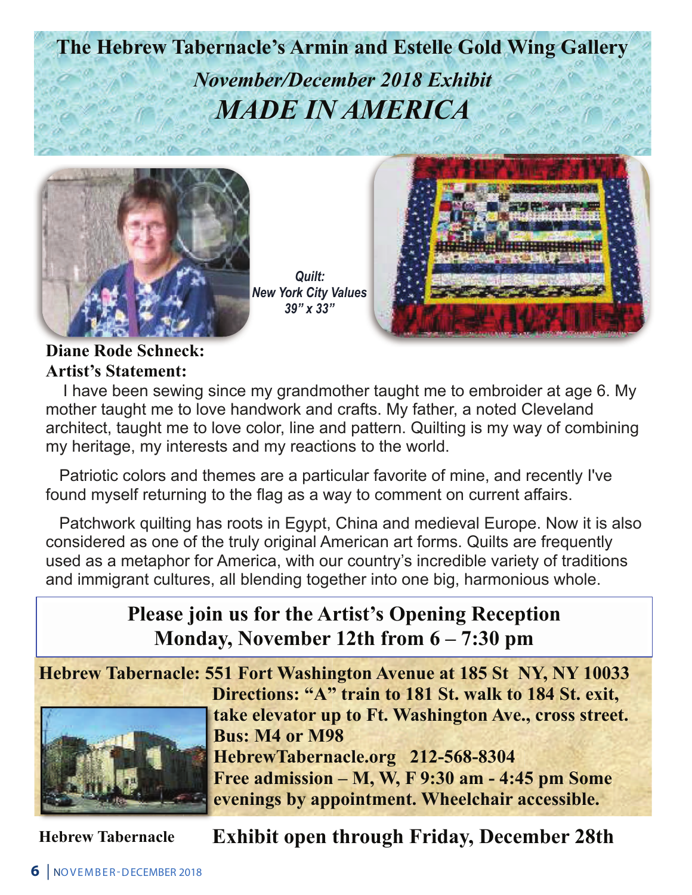**The Hebrew Tabernacle's Armin and Estelle Gold Wing Gallery**  *November/December 2018 Exhibit MADE IN AMERICA* 



*Quilt: New York City Values 39" x 33"*



**Diane Rode Schneck: Artist's Statement:** 

I have been sewing since my grandmother taught me to embroider at age 6. My mother taught me to love handwork and crafts. My father, a noted Cleveland architect, taught me to love color, line and pattern. Quilting is my way of combining my heritage, my interests and my reactions to the world.

 Patriotic colors and themes are a particular favorite of mine, and recently I've found myself returning to the flag as a way to comment on current affairs.

 Patchwork quilting has roots in Egypt, China and medieval Europe. Now it is also considered as one of the truly original American art forms. Quilts are frequently used as a metaphor for America, with our country's incredible variety of traditions and immigrant cultures, all blending together into one big, harmonious whole.

### **Please join us for the Artist's Opening Reception Monday, November 12th from 6 – 7:30 pm**

 **Hebrew Tabernacle: 551 Fort Washington Avenue at 185 St NY, NY 10033 Directions: "A" train to 181 St. walk to 184 St. exit, take elevator up to Ft. Washington Ave., cross street. Bus: M4 or M98 HebrewTabernacle.org 212-568-8304 Free admission – M, W, F 9:30 am - 4:45 pm Some evenings by appointment. Wheelchair accessible.** 

**Hebrew Tabernacle Exhibit open through Friday, December 28th**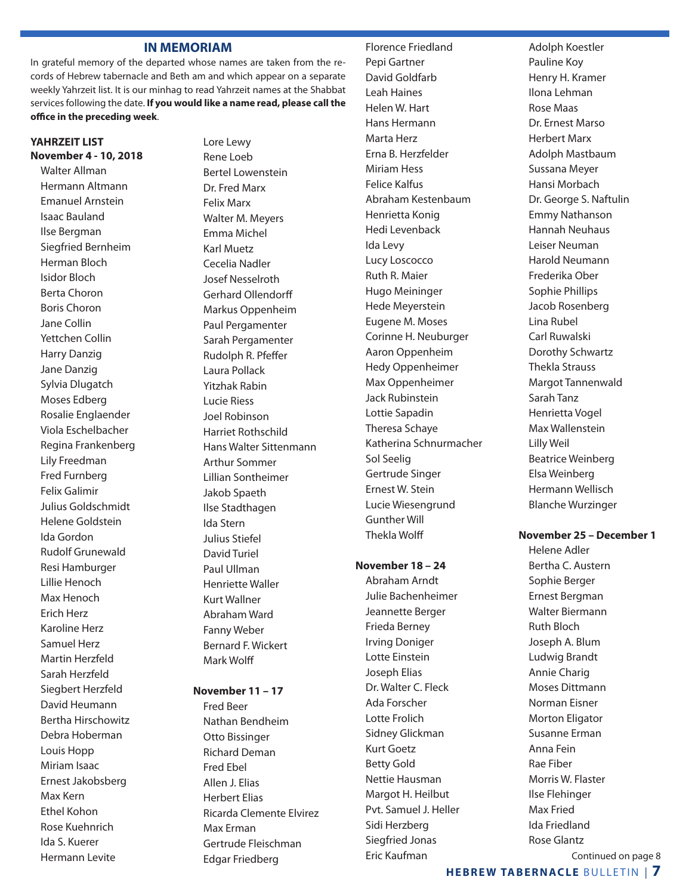#### **IN MEMORIAM**

In grateful memory of the departed whose names are taken from the records of Hebrew tabernacle and Beth am and which appear on a separate weekly Yahrzeit list. It is our minhag to read Yahrzeit names at the Shabbat services following the date. **If you would like a name read, please call the office in the preceding week**.

#### **YAHRZEIT LIST November 4 - 10, 2018**

Walter Allman Hermann Altmann Emanuel Arnstein Isaac Bauland Ilse Bergman Siegfried Bernheim Herman Bloch Isidor Bloch Berta Choron Boris Choron Jane Collin Yettchen Collin Harry Danzig Jane Danzig Sylvia Dlugatch Moses Edberg Rosalie Englaender Viola Eschelbacher Regina Frankenberg Lily Freedman Fred Furnberg Felix Galimir Julius Goldschmidt Helene Goldstein Ida Gordon Rudolf Grunewald Resi Hamburger Lillie Henoch Max Henoch Erich Herz Karoline Herz Samuel Herz Martin Herzfeld Sarah Herzfeld Siegbert Herzfeld David Heumann Bertha Hirschowitz Debra Hoberman Louis Hopp Miriam Isaac Ernest Jakobsberg Max Kern Ethel Kohon Rose Kuehnrich Ida S. Kuerer Hermann Levite

Lore Lewy Rene Loeb Bertel Lowenstein Dr. Fred Marx Felix Marx Walter M. Meyers Emma Michel Karl Muetz Cecelia Nadler Josef Nesselroth Gerhard Ollendorff Markus Oppenheim Paul Pergamenter Sarah Pergamenter Rudolph R. Pfeffer Laura Pollack Yitzhak Rabin Lucie Riess Joel Robinson Harriet Rothschild Hans Walter Sittenmann Arthur Sommer Lillian Sontheimer Jakob Spaeth Ilse Stadthagen Ida Stern Julius Stiefel David Turiel Paul Ullman Henriette Waller Kurt Wallner Abraham Ward Fanny Weber Bernard F. Wickert Mark Wolff

#### **November 11 – 17**

Fred Beer Nathan Bendheim Otto Bissinger Richard Deman Fred Ebel Allen J. Elias Herbert Elias Ricarda Clemente Elvirez Max Erman Gertrude Fleischman Edgar Friedberg

 Florence Friedland Pepi Gartner David Goldfarb Leah Haines Helen W. Hart Hans Hermann Marta Herz Erna B. Herzfelder Miriam Hess Felice Kalfus Abraham Kestenbaum Henrietta Konig Hedi Levenback Ida Levy Lucy Loscocco Ruth R. Maier Hugo Meininger Hede Meyerstein Eugene M. Moses Corinne H. Neuburger Aaron Oppenheim Hedy Oppenheimer Max Oppenheimer Jack Rubinstein Lottie Sapadin Theresa Schaye Katherina Schnurmacher Sol Seelig Gertrude Singer Ernest W. Stein Lucie Wiesengrund Gunther Will Thekla Wolff

#### **November 18 – 24**

 Abraham Arndt Julie Bachenheimer Jeannette Berger Frieda Berney Irving Doniger Lotte Einstein Joseph Elias Dr. Walter C. Fleck Ada Forscher Lotte Frolich Sidney Glickman Kurt Goetz Betty Gold Nettie Hausman Margot H. Heilbut Pvt. Samuel J. Heller Sidi Herzberg Siegfried Jonas Eric Kaufman

Adolph Koestler Pauline Koy Henry H. Kramer Ilona Lehman Rose Maas Dr. Ernest Marso Herbert Marx Adolph Mastbaum Sussana Meyer Hansi Morbach Dr. George S. Naftulin Emmy Nathanson Hannah Neuhaus Leiser Neuman Harold Neumann Frederika Ober Sophie Phillips Jacob Rosenberg Lina Rubel Carl Ruwalski Dorothy Schwartz Thekla Strauss Margot Tannenwald Sarah Tanz Henrietta Vogel Max Wallenstein Lilly Weil Beatrice Weinberg Elsa Weinberg Hermann Wellisch Blanche Wurzinger

#### **November 25 – December 1**

Helene Adler Bertha C. Austern Sophie Berger Ernest Bergman Walter Biermann Ruth Bloch Joseph A. Blum Ludwig Brandt Annie Charig Moses Dittmann Norman Eisner Morton Eligator Susanne Erman Anna Fein Rae Fiber Morris W. Flaster Ilse Flehinger Max Fried Ida Friedland Rose Glantz Continued on page 8

**HEBREW TABERNACLE** BULLETIN | **7**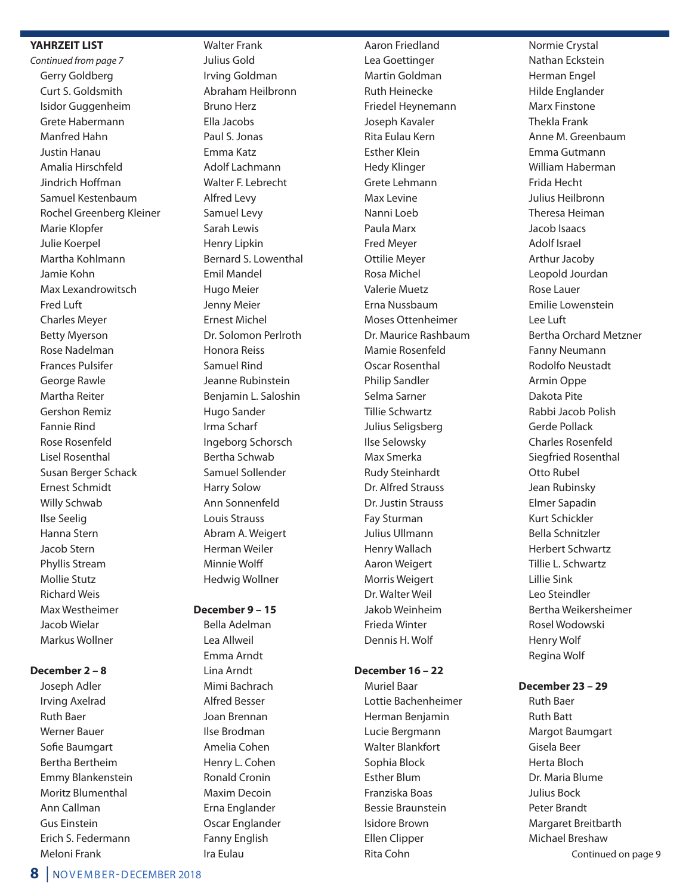#### **YAHRZEIT LIST**

*Continued from page 7* Gerry Goldberg Curt S. Goldsmith Isidor Guggenheim Grete Habermann Manfred Hahn Justin Hanau Amalia Hirschfeld Jindrich Hoffman Samuel Kestenbaum Rochel Greenberg Kleiner Marie Klopfer Julie Koerpel Martha Kohlmann Jamie Kohn Max Lexandrowitsch Fred Luft Charles Meyer Betty Myerson Rose Nadelman Frances Pulsifer George Rawle Martha Reiter Gershon Remiz Fannie Rind Rose Rosenfeld Lisel Rosenthal Susan Berger Schack Ernest Schmidt Willy Schwab Ilse Seelig Hanna Stern Jacob Stern Phyllis Stream Mollie Stutz Richard Weis Max Westheimer Jacob Wielar Markus Wollner

#### **December 2 – 8**

 Joseph Adler Irving Axelrad Ruth Baer Werner Bauer Sofie Baumgart Bertha Bertheim Emmy Blankenstein Moritz Blumenthal Ann Callman Gus Einstein Erich S. Federmann Meloni Frank

#### Walter Frank Julius Gold Irving Goldman Abraham Heilbronn Bruno Herz Ella Jacobs Paul S. Jonas Emma Katz Adolf Lachmann Walter F. Lebrecht Alfred Levy Samuel Levy Sarah Lewis Henry Lipkin Bernard S. Lowenthal Emil Mandel Hugo Meier Jenny Meier Ernest Michel Dr. Solomon Perlroth Honora Reiss Samuel Rind Jeanne Rubinstein Benjamin L. Saloshin Hugo Sander Irma Scharf Ingeborg Schorsch Bertha Schwab Samuel Sollender Harry Solow Ann Sonnenfeld Louis Strauss Abram A. Weigert Herman Weiler Minnie Wolff

#### **December 9 – 15**

Hedwig Wollner

 Bella Adelman Lea Allweil Emma Arndt Lina Arndt Mimi Bachrach Alfred Besser Joan Brennan Ilse Brodman Amelia Cohen Henry L. Cohen Ronald Cronin Maxim Decoin Erna Englander Oscar Englander Fanny English Ira Eulau

 Aaron Friedland Lea Goettinger Martin Goldman Ruth Heinecke Friedel Heynemann Joseph Kavaler Rita Eulau Kern Esther Klein Hedy Klinger Grete Lehmann Max Levine Nanni Loeb Paula Marx Fred Meyer Ottilie Meyer Rosa Michel Valerie Muetz Erna Nussbaum Moses Ottenheimer Dr. Maurice Rashbaum Mamie Rosenfeld Oscar Rosenthal Philip Sandler Selma Sarner Tillie Schwartz Julius Seligsberg Ilse Selowsky Max Smerka Rudy Steinhardt Dr. Alfred Strauss Dr. Justin Strauss Fay Sturman Julius Ullmann Henry Wallach Aaron Weigert Morris Weigert Dr. Walter Weil Jakob Weinheim Frieda Winter Dennis H. Wolf

#### **December 16 – 22**

 Muriel Baar Lottie Bachenheimer Herman Benjamin Lucie Bergmann Walter Blankfort Sophia Block Esther Blum Franziska Boas Bessie Braunstein Isidore Brown Ellen Clipper Rita Cohn

Normie Crystal Nathan Eckstein Herman Engel Hilde Englander Marx Finstone Thekla Frank Anne M. Greenbaum Emma Gutmann William Haberman Frida Hecht Julius Heilbronn Theresa Heiman Jacob Isaacs Adolf Israel Arthur Jacoby Leopold Jourdan Rose Lauer Emilie Lowenstein Lee Luft Bertha Orchard Metzner Fanny Neumann Rodolfo Neustadt Armin Oppe Dakota Pite Rabbi Jacob Polish Gerde Pollack Charles Rosenfeld Siegfried Rosenthal Otto Rubel Jean Rubinsky Elmer Sapadin Kurt Schickler Bella Schnitzler Herbert Schwartz Tillie L. Schwartz Lillie Sink Leo Steindler Bertha Weikersheimer Rosel Wodowski Henry Wolf Regina Wolf

#### **December 23 – 29**

Ruth Baer Ruth Batt Margot Baumgart Gisela Beer Herta Bloch Dr. Maria Blume Julius Bock Peter Brandt Margaret Breitbarth Michael Breshaw Continued on page 9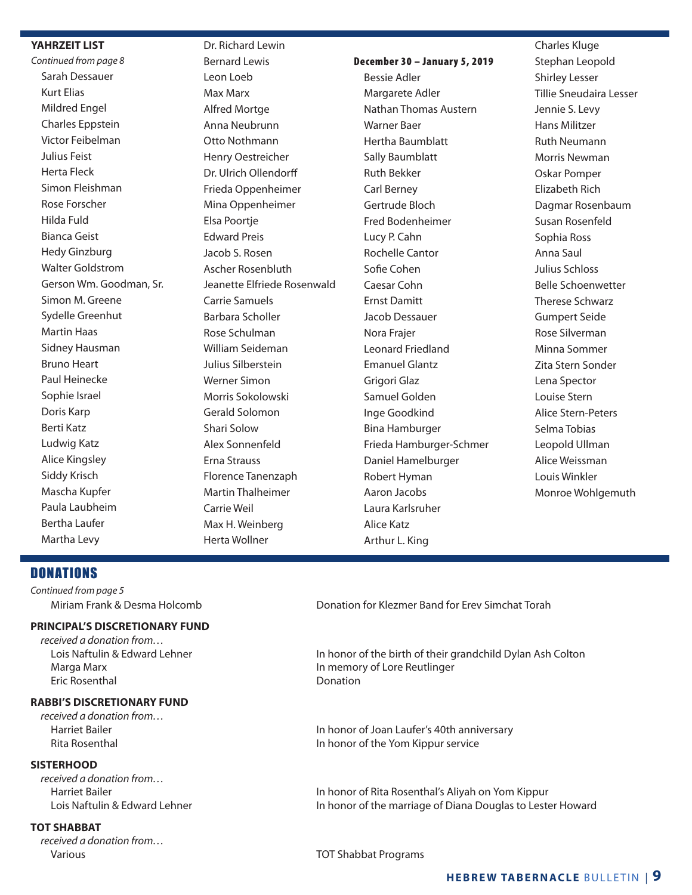#### **YAHRZEIT LIST**

*Continued from page 8* Sarah Dessauer Kurt Elias Mildred Engel Charles Eppstein Victor Feibelman Julius Feist Herta Fleck Simon Fleishman Rose Forscher Hilda Fuld Bianca Geist Hedy Ginzburg Walter Goldstrom Gerson Wm. Goodman, Sr. Simon M. Greene Sydelle Greenhut Martin Haas Sidney Hausman Bruno Heart Paul Heinecke Sophie Israel Doris Karp Berti Katz Ludwig Katz Alice Kingsley Siddy Krisch Mascha Kupfer Paula Laubheim Bertha Laufer Martha Levy

 Dr. Richard Lewin Bernard Lewis Leon Loeb Max Marx Alfred Mortge Anna Neubrunn Otto Nothmann Henry Oestreicher Dr. Ulrich Ollendorff Frieda Oppenheimer Mina Oppenheimer Elsa Poortje Edward Preis Jacob S. Rosen Ascher Rosenbluth Jeanette Elfriede Rosenwald Carrie Samuels Barbara Scholler Rose Schulman William Seideman Julius Silberstein Werner Simon Morris Sokolowski Gerald Solomon Shari Solow Alex Sonnenfeld Erna Strauss Florence Tanenzaph Martin Thalheimer Carrie Weil Max H. Weinberg Herta Wollner

#### December 30 – January 5, 2019

 Bessie Adler Margarete Adler Nathan Thomas Austern Warner Baer Hertha Baumblatt Sally Baumblatt Ruth Bekker Carl Berney Gertrude Bloch Fred Bodenheimer Lucy P. Cahn Rochelle Cantor Sofie Cohen Caesar Cohn Ernst Damitt Jacob Dessauer Nora Frajer Leonard Friedland Emanuel Glantz Grigori Glaz Samuel Golden Inge Goodkind Bina Hamburger Frieda Hamburger-Schmer Daniel Hamelburger Robert Hyman Aaron Jacobs Laura Karlsruher Alice Katz Arthur L. King

 Charles Kluge Stephan Leopold Shirley Lesser Tillie Sneudaira Lesser Jennie S. Levy Hans Militzer Ruth Neumann Morris Newman Oskar Pomper Elizabeth Rich Dagmar Rosenbaum Susan Rosenfeld Sophia Ross Anna Saul Julius Schloss Belle Schoenwetter Therese Schwarz Gumpert Seide Rose Silverman Minna Sommer Zita Stern Sonder Lena Spector Louise Stern Alice Stern-Peters Selma Tobias Leopold Ullman Alice Weissman Louis Winkler Monroe Wohlgemuth

#### **DONATIONS**

*Continued from page 5*

#### **PRINCIPAL'S DISCRETIONARY FUND**

*received a donation from…* Marga Marx In memory of Lore Reutlinger Eric Rosenthal Donation

#### **RABBI'S DISCRETIONARY FUND**

*received a donation from…*

#### **SISTERHOOD**

*received a donation from…*

#### **TOT SHABBAT**

*received a donation from…* Various TOT Shabbat Programs

Miriam Frank & Desma Holcomb Donation for Klezmer Band for Erev Simchat Torah

Lois Naftulin & Edward Lehner **In honor of the birth of their grandchild Dylan Ash Colton** 

Harriet Bailer **In the Incident Community** In honor of Joan Laufer's 40th anniversary Rita Rosenthal **In the Volume 2018** In honor of the Yom Kippur service

 Harriet Bailer In honor of Rita Rosenthal's Aliyah on Yom Kippur Lois Naftulin & Edward Lehner **In honor of the marriage of Diana Douglas to Lester Howard**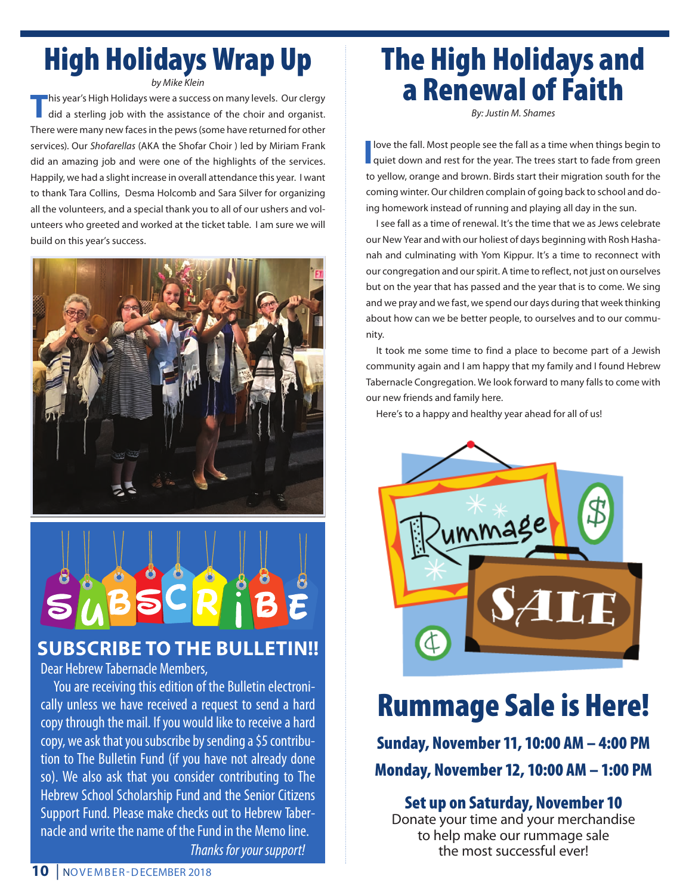# High Holidays Wrap Up

*by Mike Klein*

**T**his year's High Holidays were a success on many levels. Our clergy did a sterling job with the assistance of the choir and organist. There were many new faces in the pews (some have returned for other services). Our *Shofarellas* (AKA the Shofar Choir ) led by Miriam Frank did an amazing job and were one of the highlights of the services. Happily, we had a slight increase in overall attendance this year. I want to thank Tara Collins, Desma Holcomb and Sara Silver for organizing all the volunteers, and a special thank you to all of our ushers and volunteers who greeted and worked at the ticket table. I am sure we will build on this year's success.



### **SUBSCRIBE TO THE BULLETIN!!**

Dear Hebrew Tabernacle Members,

You are receiving this edition of the Bulletin electronically unless we have received a request to send a hard copy through the mail. If you would like to receive a hard copy, we ask that you sub scribe by sending a \$5 contribution to The Bulletin Fund (if you have not already done so). We also ask that you consider contributing to The Hebrew School Scholarship Fund and the Senior Citizens Support Fund. Please make checks out to Hebrew Tabernacle and write the name of the Fund in the Memo line. *Thanks for your support!*

# The High Holidays and a Renewal of Faith

*By: Justin M. Shames*

**I** love the fall. Most people see the fall as a time when things begin to quiet down and rest for the year. The trees start to fade from green love the fall. Most people see the fall as a time when things begin to to yellow, orange and brown. Birds start their migration south for the coming winter. Our children complain of going back to school and doing homework instead of running and playing all day in the sun.

 I see fall as a time of renewal. It's the time that we as Jews celebrate our New Year and with our holiest of days beginning with Rosh Hashanah and culminating with Yom Kippur. It's a time to reconnect with our congregation and our spirit. A time to reflect, not just on ourselves but on the year that has passed and the year that is to come. We sing and we pray and we fast, we spend our days during that week thinking about how can we be better people, to ourselves and to our community.

 It took me some time to find a place to become part of a Jewish community again and I am happy that my family and I found Hebrew Tabernacle Congregation. We look forward to many falls to come with our new friends and family here.

Here's to a happy and healthy year ahead for all of us!



# Rummage Sale is Here!

Sunday, November 11, 10:00 AM – 4:00 PM Monday, November 12, 10:00 AM – 1:00 PM

### Set up on Saturday, November 10

Donate your time and your merchandise to help make our rummage sale the most successful ever!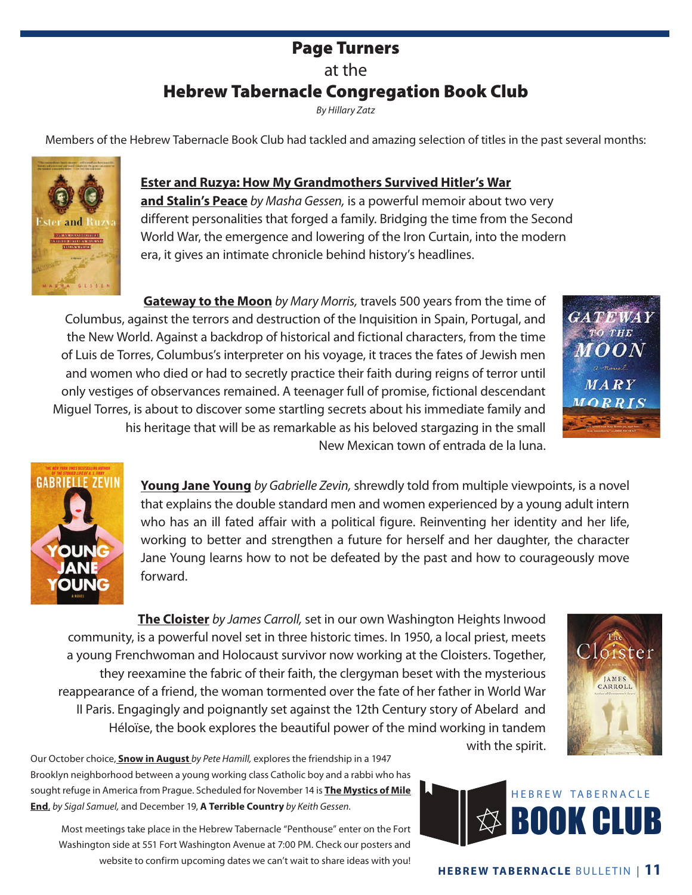### Page Turners at the Hebrew Tabernacle Congregation Book Club

*By Hillary Zatz*

Members of the Hebrew Tabernacle Book Club had tackled and amazing selection of titles in the past several months:



**Ester and Ruzya: How My Grandmothers Survived Hitler's War and Stalin's Peace** *by Masha Gessen,* is a powerful memoir about two very different personalities that forged a family. Bridging the time from the Second World War, the emergence and lowering of the Iron Curtain, into the modern

**Gateway to the Moon** *by Mary Morris,* travels 500 years from the time of Columbus, against the terrors and destruction of the Inquisition in Spain, Portugal, and the New World. Against a backdrop of historical and fictional characters, from the time of Luis de Torres, Columbus's interpreter on his voyage, it traces the fates of Jewish men and women who died or had to secretly practice their faith during reigns of terror until only vestiges of observances remained. A teenager full of promise, fictional descendant Miguel Torres, is about to discover some startling secrets about his immediate family and his heritage that will be as remarkable as his beloved stargazing in the small New Mexican town of entrada de la luna.

era, it gives an intimate chronicle behind history's headlines.



JAMES CARROLL



**Young Jane Young** *by Gabrielle Zevin,* shrewdly told from multiple viewpoints, is a novel that explains the double standard men and women experienced by a young adult intern who has an ill fated affair with a political figure. Reinventing her identity and her life, working to better and strengthen a future for herself and her daughter, the character Jane Young learns how to not be defeated by the past and how to courageously move forward.

**The Cloister** *by James Carroll,* set in our own Washington Heights Inwood community, is a powerful novel set in three historic times. In 1950, a local priest, meets a young Frenchwoman and Holocaust survivor now working at the Cloisters. Together, they reexamine the fabric of their faith, the clergyman beset with the mysterious reappearance of a friend, the woman tormented over the fate of her father in World War II Paris. Engagingly and poignantly set against the 12th Century story of Abelard and Héloïse, the book explores the beautiful power of the mind working in tandem

Our October choice, **Snow in August** *by Pete Hamill,* explores the friendship in a 1947 Brooklyn neighborhood between a young working class Catholic boy and a rabbi who has sought refuge in America from Prague. Scheduled for November 14 is **The Mystics of Mile End**, *by Sigal Samuel,* and December 19, **A Terrible Country** *by Keith Gessen.*

Most meetings take place in the Hebrew Tabernacle "Penthouse" enter on the Fort Washington side at 551 Fort Washington Avenue at 7:00 PM. Check our posters and website to confirm upcoming dates we can't wait to share ideas with you!

with the spirit.